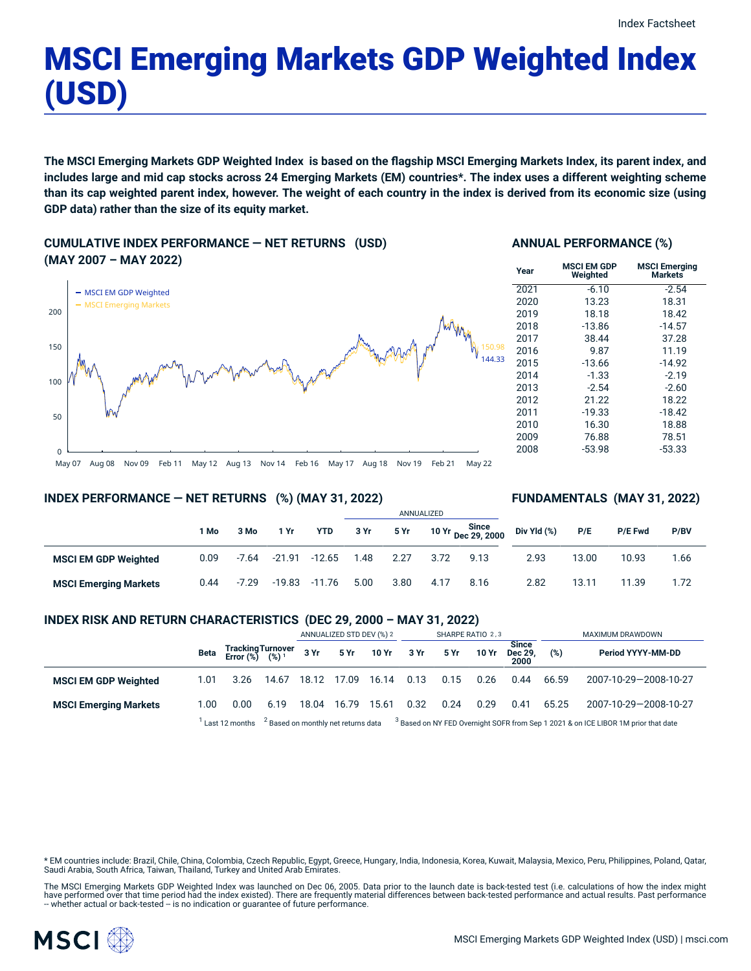# MSCI Emerging Markets GDP Weighted Index (USD)

The MSCI Emerging Markets GDP Weighted Index is based on the flagship MSCI Emerging Markets Index, its parent index, and includes large and mid cap stocks across 24 Emerging Markets (EM) countries\*. The index uses a different weighting scheme than its cap weighted parent index, however. The weight of each country in the index is derived from its economic size (using **GDP data) rather than the size of its equity market.**

**CUMULATIVE INDEX PERFORMANCE — NET RETURNS (USD) (MAY 2007 – MAY 2022)**



# **ANNUAL PERFORMANCE (%)**

| Year | MSCI EM GDP<br>Weighted | <b>MSCI Emerging</b><br><b>Markets</b> |
|------|-------------------------|----------------------------------------|
| 2021 | $-6.10$                 | $-2.54$                                |
| 2020 | 13.23                   | 18.31                                  |
| 2019 | 18.18                   | 18.42                                  |
| 2018 | $-13.86$                | $-14.57$                               |
| 2017 | 38.44                   | 37.28                                  |
| 2016 | 9.87                    | 11.19                                  |
| 2015 | $-13.66$                | $-14.92$                               |
| 2014 | $-1.33$                 | $-2.19$                                |
| 2013 | $-2.54$                 | $-2.60$                                |
| 2012 | 21.22                   | 18.22                                  |
| 2011 | $-19.33$                | $-18.42$                               |
| 2010 | 16.30                   | 18.88                                  |
| 2009 | 76.88                   | 78.51                                  |
| 2008 | -53.98                  | $-53.33$                               |

May 07 Aug 08 Nov 09 Feb 11 May 12 Aug 13 Nov 14 Feb 16 May 17 Aug 18 Nov 19 Feb 21 May 22

## **INDEX PERFORMANCE — NET RETURNS (%) (MAY 31, 2022)**

## **FUNDAMENTALS (MAY 31, 2022)**

|                              |      |         |          |            | ANNUALIZED |      |      |                             |             |       |                |      |
|------------------------------|------|---------|----------|------------|------------|------|------|-----------------------------|-------------|-------|----------------|------|
|                              | 1 Mo | 3 Mo    | 1 Yr     | <b>YTD</b> | 3 Yr       | 5 Yr |      | 10 Yr Since<br>Dec 29, 2000 | Div Yld (%) | P/E   | <b>P/E Fwd</b> | P/BV |
| <b>MSCI EM GDP Weighted</b>  | 0.09 | $-7.64$ | -21.91   | $-12.65$   | 1.48       | 2.27 | 3.72 | 9.13                        | 2.93        | 13.00 | 10.93          | 1.66 |
| <b>MSCI Emerging Markets</b> | 0.44 | $-7.29$ | $-19.83$ | $-11.76$   | 5.00       | 3.80 | 4.17 | 8.16                        | 2.82        | 13.11 | 11.39          | 1.72 |

## **INDEX RISK AND RETURN CHARACTERISTICS (DEC 29, 2000 – MAY 31, 2022)**

|                              |      |                                                            |                                                                                                                                     | ANNUALIZED STD DEV (%) 2 |       | SHARPE RATIO 2,3     |      |      |       | MAXIMUM DRAWDOWN                |       |                       |
|------------------------------|------|------------------------------------------------------------|-------------------------------------------------------------------------------------------------------------------------------------|--------------------------|-------|----------------------|------|------|-------|---------------------------------|-------|-----------------------|
|                              |      | Beta Tracking Turnover<br>Error $(\%)$ $(\%)$ <sup>1</sup> |                                                                                                                                     |                          |       | 3 Yr 5 Yr 10 Yr 3 Yr |      | 5 Yr | 10 Yr | <b>Since</b><br>Dec 29,<br>2000 | (%)   | Period YYYY-MM-DD     |
| <b>MSCI EM GDP Weighted</b>  | 1.01 | 3.26                                                       | 14.67                                                                                                                               | 18.12                    | 17.09 | 16.14                | 0.13 | 0.15 | 0.26  | 0.44                            | 66.59 | 2007-10-29-2008-10-27 |
| <b>MSCI Emerging Markets</b> | 1.00 | 0.00                                                       | 6.19                                                                                                                                | 18.04                    | 16.79 | 15.61                | 0.32 | 0.24 | 0.29  | 0.41                            | 65.25 | 2007-10-29-2008-10-27 |
|                              |      | Last 12 months                                             | <sup>2</sup> Based on monthly net returns data $3$ Based on NY FED Overnight SOFR from Sep 1 2021 & on ICE LIBOR 1M prior that date |                          |       |                      |      |      |       |                                 |       |                       |

\* EM countries include: Brazil, Chile, China, Colombia, Czech Republic, Egypt, Greece, Hungary, India, Indonesia, Korea, Kuwait, Malaysia, Mexico, Peru, Philippines, Poland, Qatar, Saudi Arabia, South Africa, Taiwan, Thailand, Turkey and United Arab Emirates.

The MSCI Emerging Markets GDP Weighted Index was launched on Dec 06, 2005. Data prior to the launch date is back-tested test (i.e. calculations of how the index might have performed over that time period had the index existed). There are frequently material differences between back-tested performance and actual results. Past performance<br>– whether actual or back-tested – is no indication

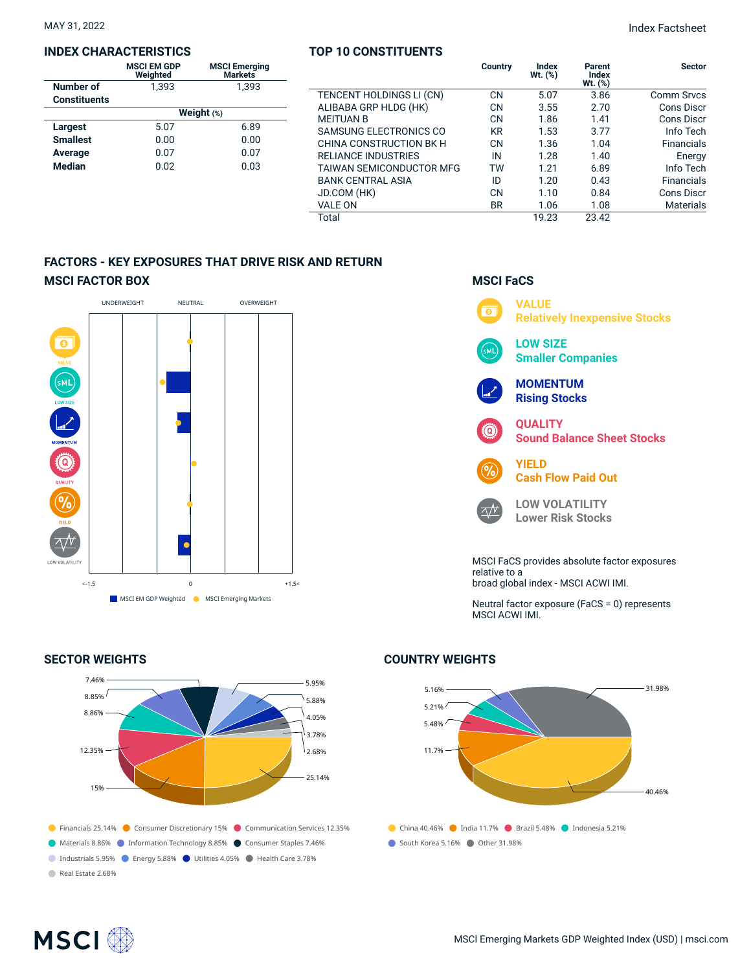#### **INDEX CHARACTERISTICS**

|                     | <b>MSCI EM GDP</b><br>Weighted | <b>MSCI Emerging</b><br>Markets |  |  |  |  |  |
|---------------------|--------------------------------|---------------------------------|--|--|--|--|--|
| Number of           | 1.393                          | 1.393                           |  |  |  |  |  |
| <b>Constituents</b> |                                |                                 |  |  |  |  |  |
|                     | Weight $(*)$                   |                                 |  |  |  |  |  |
| <b>Largest</b>      | 5.07                           | 6.89                            |  |  |  |  |  |
| <b>Smallest</b>     | 0.00                           | 0.00                            |  |  |  |  |  |
| Average             | 0.07                           | 0.07                            |  |  |  |  |  |
| <b>Median</b>       | 0.02                           | 0.03                            |  |  |  |  |  |
|                     |                                |                                 |  |  |  |  |  |

## **TOP 10 CONSTITUENTS**

|                                 | Country   | Index<br>$Wt.$ $(\%)$ | Parent<br>Index<br>$Wt.$ $(\%)$ | <b>Sector</b>     |
|---------------------------------|-----------|-----------------------|---------------------------------|-------------------|
| TENCENT HOLDINGS LI (CN)        | <b>CN</b> | 5.07                  | 3.86                            | Comm Srvcs        |
| ALIBABA GRP HLDG (HK)           | <b>CN</b> | 3.55                  | 2.70                            | Cons Discr        |
| <b>MEITUAN B</b>                | <b>CN</b> | 1.86                  | 1.41                            | Cons Discr        |
| SAMSUNG ELECTRONICS CO          | KR        | 1.53                  | 3.77                            | Info Tech         |
| CHINA CONSTRUCTION BK H         | CN        | 1.36                  | 1.04                            | <b>Financials</b> |
| <b>RELIANCE INDUSTRIES</b>      | IN        | 1.28                  | 1.40                            | Energy            |
| <b>TAIWAN SEMICONDUCTOR MFG</b> | TW        | 1.21                  | 6.89                            | Info Tech         |
| <b>BANK CENTRAL ASIA</b>        | ID        | 1.20                  | 0.43                            | <b>Financials</b> |
| JD.COM (HK)                     | CN        | 1.10                  | 0.84                            | Cons Discr        |
| VALE ON                         | <b>BR</b> | 1.06                  | 1.08                            | <b>Materials</b>  |
| Total                           |           | 19.23                 | 23.42                           |                   |

# **FACTORS - KEY EXPOSURES THAT DRIVE RISK AND RETURN MSCI FACTOR BOX**



## **SECTOR WEIGHTS**



# **MSCI FaCS**



Neutral factor exposure (FaCS = 0) represents MSCI ACWI IMI.

# **COUNTRY WEIGHTS**